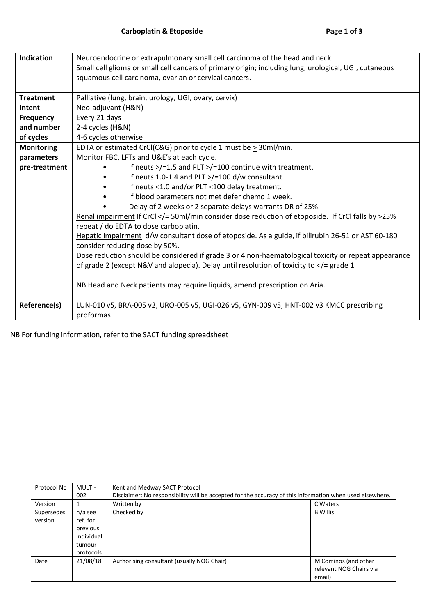| Neuroendocrine or extrapulmonary small cell carcinoma of the head and neck                            |  |  |  |  |  |  |
|-------------------------------------------------------------------------------------------------------|--|--|--|--|--|--|
| Small cell glioma or small cell cancers of primary origin; including lung, urological, UGI, cutaneous |  |  |  |  |  |  |
| squamous cell carcinoma, ovarian or cervical cancers.                                                 |  |  |  |  |  |  |
|                                                                                                       |  |  |  |  |  |  |
|                                                                                                       |  |  |  |  |  |  |
| Neo-adjuvant (H&N)                                                                                    |  |  |  |  |  |  |
|                                                                                                       |  |  |  |  |  |  |
|                                                                                                       |  |  |  |  |  |  |
|                                                                                                       |  |  |  |  |  |  |
|                                                                                                       |  |  |  |  |  |  |
|                                                                                                       |  |  |  |  |  |  |
|                                                                                                       |  |  |  |  |  |  |
|                                                                                                       |  |  |  |  |  |  |
|                                                                                                       |  |  |  |  |  |  |
|                                                                                                       |  |  |  |  |  |  |
|                                                                                                       |  |  |  |  |  |  |
| Renal impairment If CrCl = 50ml/min consider dose reduction of etoposide. If CrCl falls by 25%        |  |  |  |  |  |  |
|                                                                                                       |  |  |  |  |  |  |
| Hepatic impairment d/w consultant dose of etoposide. As a guide, if bilirubin 26-51 or AST 60-180     |  |  |  |  |  |  |
|                                                                                                       |  |  |  |  |  |  |
| Dose reduction should be considered if grade 3 or 4 non-haematological toxicity or repeat appearance  |  |  |  |  |  |  |
|                                                                                                       |  |  |  |  |  |  |
|                                                                                                       |  |  |  |  |  |  |
|                                                                                                       |  |  |  |  |  |  |
|                                                                                                       |  |  |  |  |  |  |
|                                                                                                       |  |  |  |  |  |  |
|                                                                                                       |  |  |  |  |  |  |
|                                                                                                       |  |  |  |  |  |  |

NB For funding information, refer to the SACT funding spreadsheet

| Protocol No | MULTI-     | Kent and Medway SACT Protocol                                                                            |                         |  |
|-------------|------------|----------------------------------------------------------------------------------------------------------|-------------------------|--|
|             | 002        | Disclaimer: No responsibility will be accepted for the accuracy of this information when used elsewhere. |                         |  |
| Version     |            | Written by                                                                                               | C Waters                |  |
| Supersedes  | n/a see    | Checked by                                                                                               | <b>B</b> Willis         |  |
| version     | ref. for   |                                                                                                          |                         |  |
|             | previous   |                                                                                                          |                         |  |
|             | individual |                                                                                                          |                         |  |
|             | tumour     |                                                                                                          |                         |  |
|             | protocols  |                                                                                                          |                         |  |
| Date        | 21/08/18   | Authorising consultant (usually NOG Chair)                                                               | M Cominos (and other    |  |
|             |            |                                                                                                          | relevant NOG Chairs via |  |
|             |            |                                                                                                          | email)                  |  |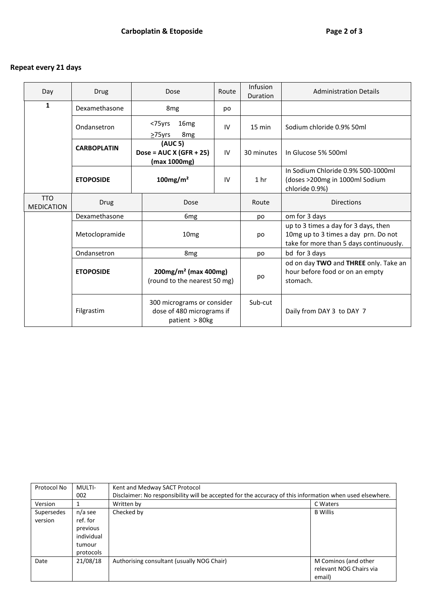## **Repeat every 21 days**

| Day                             | Drug               | Dose                                                                      | Route | Infusion<br>Duration | <b>Administration Details</b>                                                                                           |
|---------------------------------|--------------------|---------------------------------------------------------------------------|-------|----------------------|-------------------------------------------------------------------------------------------------------------------------|
| $\mathbf{1}$                    | Dexamethasone      | 8 <sub>mg</sub>                                                           | po    |                      |                                                                                                                         |
|                                 | Ondansetron        | <75yrs<br>16 <sub>mg</sub><br>8 <sub>mg</sub><br>$>75$ yrs                | IV    | $15 \text{ min}$     | Sodium chloride 0.9% 50ml                                                                                               |
|                                 | <b>CARBOPLATIN</b> | (AUC 5)<br>Dose = $AUC X (GFR + 25)$<br>(max 1000mg)                      | IV    | 30 minutes           | In Glucose 5% 500ml                                                                                                     |
|                                 | <b>ETOPOSIDE</b>   | $100$ mg/m <sup>2</sup>                                                   | IV    | 1 <sub>hr</sub>      | In Sodium Chloride 0.9% 500-1000ml<br>(doses >200mg in 1000ml Sodium<br>chloride 0.9%)                                  |
| <b>TTO</b><br><b>MEDICATION</b> | Drug               | Dose                                                                      |       | Route                | <b>Directions</b>                                                                                                       |
|                                 | Dexamethasone      | 6 <sub>mg</sub>                                                           |       | po                   | om for 3 days                                                                                                           |
|                                 | Metoclopramide     | 10 <sub>mg</sub>                                                          |       | po                   | up to 3 times a day for 3 days, then<br>10mg up to 3 times a day prn. Do not<br>take for more than 5 days continuously. |
|                                 | Ondansetron        | 8 <sub>mg</sub>                                                           |       | po                   | bd for 3 days                                                                                                           |
|                                 | <b>ETOPOSIDE</b>   | $200mg/m2$ (max 400mg)<br>(round to the nearest 50 mg)                    |       | po                   | od on day TWO and THREE only. Take an<br>hour before food or on an empty<br>stomach.                                    |
|                                 | Filgrastim         | 300 micrograms or consider<br>dose of 480 micrograms if<br>patient > 80kg |       | Sub-cut              | Daily from DAY 3 to DAY 7                                                                                               |

| Protocol No | MULTI-     | Kent and Medway SACT Protocol                                                                            |                         |  |  |
|-------------|------------|----------------------------------------------------------------------------------------------------------|-------------------------|--|--|
|             | 002        | Disclaimer: No responsibility will be accepted for the accuracy of this information when used elsewhere. |                         |  |  |
| Version     |            | Written by                                                                                               | C Waters                |  |  |
| Supersedes  | n/a see    | Checked by                                                                                               | <b>B</b> Willis         |  |  |
| version     | ref. for   |                                                                                                          |                         |  |  |
|             | previous   |                                                                                                          |                         |  |  |
|             | individual |                                                                                                          |                         |  |  |
|             | tumour     |                                                                                                          |                         |  |  |
|             | protocols  |                                                                                                          |                         |  |  |
| Date        | 21/08/18   | Authorising consultant (usually NOG Chair)                                                               | M Cominos (and other    |  |  |
|             |            |                                                                                                          | relevant NOG Chairs via |  |  |
|             |            |                                                                                                          | email)                  |  |  |